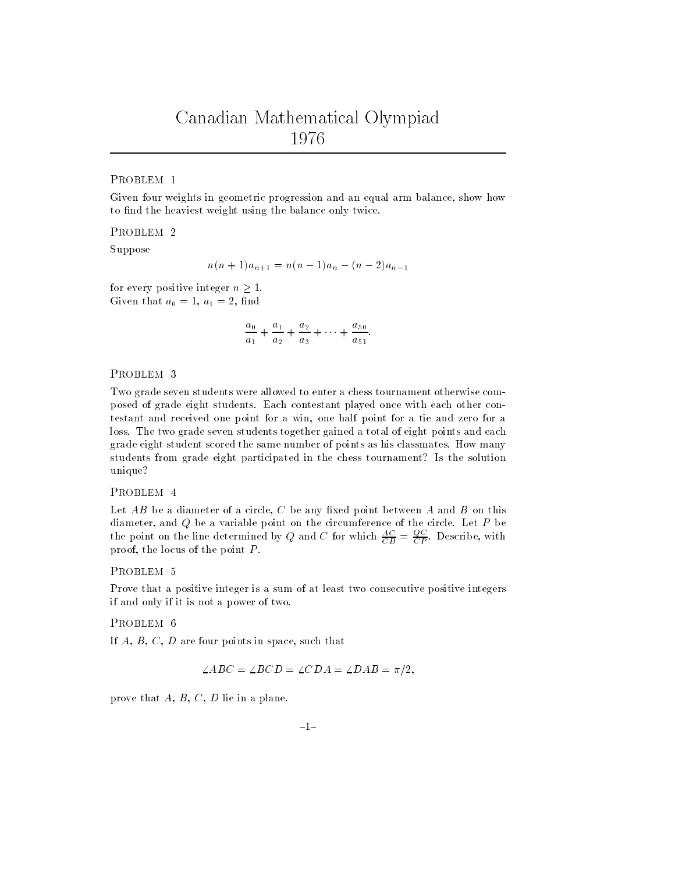### PROBLEM <sup>1</sup>

Given four weights in geometric progression and an equal arm balance, show howto find the heaviest weight using the balance only twice.

Suppose

$$
n(n+1)a_{n+1} = n(n-1)a_n - (n-2)a_{n-1}
$$

for every positive integer  $n > 1$ . Given that  $a_0 = 1, a_1 = 2, \text{ min}$ 

$$
\frac{a_0}{a_1} + \frac{a_1}{a_2} + \frac{a_2}{a_3} + \cdots + \frac{a_{50}}{a_{51}}.
$$

#### PROBLEM <sup>3</sup>

Two grade seven students were allowed to enter a chess tournament otherwise composed of grade eight students. Each contestant played once with each other contestant and received one point for a win, one half point for a tie and zero for aloss. The two grade seven students together gained a total of eight points and eachgrade eight student scored the same number of points as his classmates. How manystudents from grade eight participated in the chess tournament? Is the solution unique?

### PROBLEM <sup>4</sup>

Let  $AD$  be a diameter of a circle,  $C$  be any nacd point between  $A$  and  $B$  on this diameter, and Q be a variable point on the circumference of the circle. Let P be the point on the line determined by  $Q$  and  $C$  for which  $\frac{CB}{CB} = \frac{P}{CP}$ . Describe, with  $p_1$  ooi, the locus of the point  $P$ 

## PROBLEM <sup>5</sup>

Prove that a positive integer is a sum of at least two consecutive positive integersif and only if it is not a power of two.

PROBLEM <sup>6</sup>

 $\pi$ ,  $B$ ,  $C$ ,  $D$  are four points in space, such that

$$
\angle ABC = \angle BCD = \angle CDA = \angle DAB = \pi/2,
$$

prove that  $A, B, \cup, D$  lie in a plane.